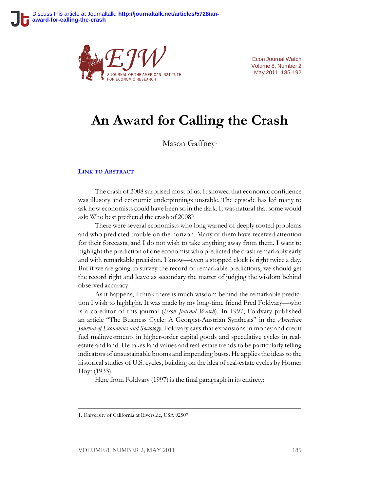

Econ Journal Watch Volume 8, Number 2 May 2011, 185-192

# **An Award for Calling the Crash**

Mason Gaffney<sup>1</sup>

#### **LINK TO A[BSTRACT](http://econjwatch.org/715)**

The crash of 2008 surprised most of us. It showed that economic confidence was illusory and economic underpinnings unstable. The episode has led many to ask how economists could have been so in the dark. It was natural that some would ask: Who best predicted the crash of 2008?

There were several economists who long warned of deeply rooted problems and who predicted trouble on the horizon. Many of them have received attention for their forecasts, and I do not wish to take anything away from them. I want to highlight the prediction of one economist who predicted the crash remarkably early and with remarkable precision. I know—even a stopped clock is right twice a day. But if we are going to survey the record of remarkable predictions, we should get the record right and leave as secondary the matter of judging the wisdom behind observed accuracy.

As it happens, I think there is much wisdom behind the remarkable prediction I wish to highlight. It was made by my long-time friend Fred Foldvary—who is a co-editor of this journal (*Econ Journal Watch*). In 1997, Foldvary published an article "The Business Cycle: A Georgist-Austrian Synthesis" in the *American Journal of Economics and Sociology*. Foldvary says that expansions in money and credit fuel malinvestments in higher-order capital goods and speculative cycles in realestate and land. He takes land values and real-estate trends to be particularly telling indicators of unsustainable booms and impending busts. He applies the ideas to the historical studies of U.S. cycles, building on the idea of real-estate cycles by Homer Hoyt (1933).

Here from Foldvary (1997) is the final paragraph in its entirety:

<sup>1.</sup> University of California at Riverside, USA 92507.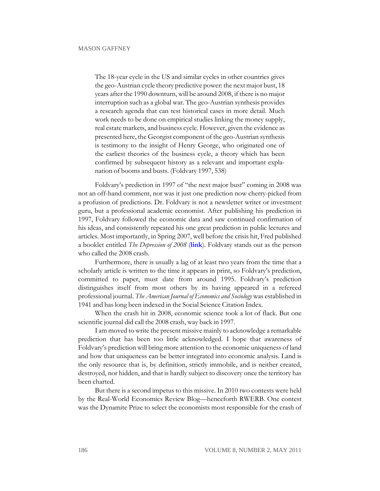The 18-year cycle in the US and similar cycles in other countries gives the geo-Austrian cycle theory predictive power: the next major bust, 18 years after the 1990 downturn, will be around 2008, if there is no major interruption such as a global war. The geo-Austrian synthesis provides a research agenda that can test historical cases in more detail. Much work needs to be done on empirical studies linking the money supply, real estate markets, and business cycle. However, given the evidence as presented here, the Georgist component of the geo-Austrian synthesis is testimony to the insight of Henry George, who originated one of the earliest theories of the business cycle, a theory which has been confirmed by subsequent history as a relevant and important explanation of booms and busts. (Foldvary 1997, 538)

Foldvary's prediction in 1997 of "the next major bust" coming in 2008 was not an off-hand comment, nor was it just one prediction now cherry-picked from a profusion of predictions. Dr. Foldvary is not a newsletter writer or investment guru, but a professional academic economist. After publishing his prediction in 1997, Foldvary followed the economic data and saw continued confirmation of his ideas, and consistently repeated his one great prediction in public lectures and articles. Most importantly, in Spring 2007, well before the crisis hit, Fred published a booklet entitled *The Depression of 2008* (**[link](http://www.foldvary.net/works/dep08.pdf)**). Foldvary stands out as the person who called the 2008 crash.

Furthermore, there is usually a lag of at least two years from the time that a scholarly article is written to the time it appears in print, so Foldvary's prediction, committed to paper, must date from around 1995. Foldvary's prediction distinguishes itself from most others by its having appeared in a refereed professional journal. *The American Journal of Economics and Sociology* was established in 1941 and has long been indexed in the Social Science Citation Index.

When the crash hit in 2008, economic science took a lot of flack. But one scientific journal did call the 2008 crash, way back in 1997.

I am moved to write the present missive mainly to acknowledge a remarkable prediction that has been too little acknowledged. I hope that awareness of Foldvary's prediction will bring more attention to the economic uniqueness of land and how that uniqueness can be better integrated into economic analysis. Land is the only resource that is, by definition, strictly immobile, and is neither created, destroyed, nor hidden, and that is hardly subject to discovery once the territory has been charted.

But there is a second impetus to this missive. In 2010 two contests were held by the Real-World Economics Review Blog—henceforth RWERB. One contest was the Dynamite Prize to select the economists most responsible for the crash of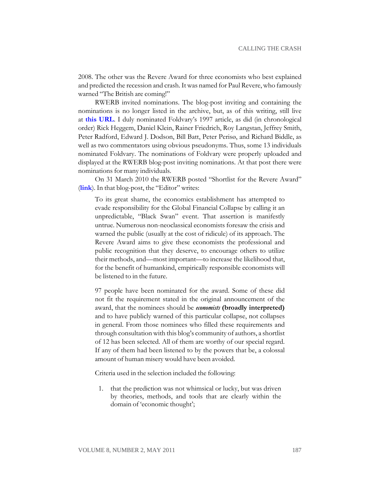2008. The other was the Revere Award for three economists who best explained and predicted the recession and crash. It was named for Paul Revere, who famously warned "The British are coming!"

RWERB invited nominations. The blog-post inviting and containing the nominations is no longer listed in the archive, but, as of this writing, still live at **[this URL](http://rwer.wordpress.com/nominations-for-the-revere-award-in-economics/)**. I duly nominated Foldvary's 1997 article, as did (in chronological order) Rick Heggem, Daniel Klein, Rainer Friedrich, Roy Langstan, Jeffrey Smith, Peter Radford, Edward J. Dodson, Bill Batt, Peter Perisø, and Richard Biddle, as well as two commentators using obvious pseudonyms. Thus, some 13 individuals nominated Foldvary. The nominations of Foldvary were properly uploaded and displayed at the RWERB blog-post inviting nominations. At that post there were nominations for many individuals.

On 31 March 2010 the RWERB posted "Shortlist for the Revere Award" (**[link](http://rwer.wordpress.com/2010/03/31/shortlist-for-the-revere-award-for-economics-3/)**). In that blog-post, the "Editor" writes:

To its great shame, the economics establishment has attempted to evade responsibility for the Global Financial Collapse by calling it an unpredictable, "Black Swan" event. That assertion is manifestly untrue. Numerous non-neoclassical economists foresaw the crisis and warned the public (usually at the cost of ridicule) of its approach. The Revere Award aims to give these economists the professional and public recognition that they deserve, to encourage others to utilize their methods, and—most important—to increase the likelihood that, for the benefit of humankind, empirically responsible economists will be listened to in the future.

97 people have been nominated for the award. Some of these did not fit the requirement stated in the original announcement of the award, that the nominees should be *economists* (broadly interpreted) and to have publicly warned of this particular collapse, not collapses in general. From those nominees who filled these requirements and through consultation with this blog's community of authors, a shortlist of 12 has been selected. All of them are worthy of our special regard. If any of them had been listened to by the powers that be, a colossal amount of human misery would have been avoided.

Criteria used in the selection included the following:

1. that the prediction was not whimsical or lucky, but was driven by theories, methods, and tools that are clearly within the domain of 'economic thought';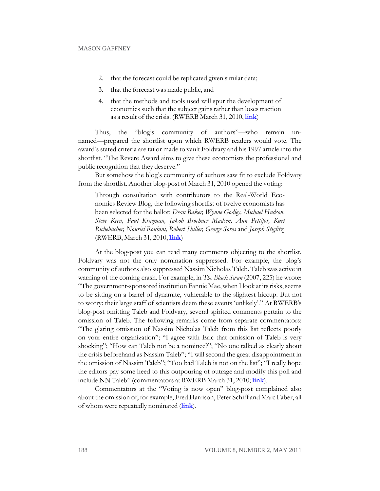- 2. that the forecast could be replicated given similar data;
- 3. that the forecast was made public, and
- 4. that the methods and tools used will spur the development of economics such that the subject gains rather than loses traction as a result of the crisis. (RWERB March 31, 2010, **[link](http://rwer.wordpress.com/2010/03/31/shortlist-for-the-revere-award-for-economics-3/)**)

Thus, the "blog's community of authors"—who remain unnamed—prepared the shortlist upon which RWERB readers would vote. The award's stated criteria are tailor made to vault Foldvary and his 1997 article into the shortlist. "The Revere Award aims to give these economists the professional and public recognition that they deserve."

But somehow the blog's community of authors saw fit to exclude Foldvary from the shortlist. Another blog-post of March 31, 2010 opened the voting:

Through consultation with contributors to the Real-World Economics Review Blog, the following shortlist of twelve economists has been selected for the ballot: *Dean Baker, Wynne Godley, Michael Hudson, Steve Keen, Paul Krugman, Jakob Brøchner Madsen, Ann Pettifor, Kurt Richebächer, Nouriel Roubini, Robert Shiller, George Soros* and *Joseph Stiglitz*. (RWERB, March 31, 2010, **[link](http://rwer.wordpress.com/2010/03/31/voting-is-now-open-for-the-revere-award-for-economics/)**)

At the blog-post you can read many comments objecting to the shortlist. Foldvary was not the only nomination suppressed. For example, the blog's community of authors also suppressed Nassim Nicholas Taleb. Taleb was active in warning of the coming crash. For example, in *The Black Swan* (2007, 225) he wrote: "The government-sponsored institution Fannie Mae, when I look at its risks, seems to be sitting on a barrel of dynamite, vulnerable to the slightest hiccup. But not to worry: their large staff of scientists deem these events 'unlikely'." At RWERB's blog-post omitting Taleb and Foldvary, several spirited comments pertain to the omission of Taleb. The following remarks come from separate commentators: "The glaring omission of Nassim Nicholas Taleb from this list reflects poorly on your entire organization"; "I agree with Eric that omission of Taleb is very shocking"; "How can Taleb not be a nominee?"; "No one talked as clearly about the crisis beforehand as Nassim Taleb"; "I will second the great disappointment in the omission of Nassim Taleb"; "Too bad Taleb is not on the list"; "I really hope the editors pay some heed to this outpouring of outrage and modify this poll and include NN Taleb" (commentators at RWERB March 31, 2010; **[link](http://rwer.wordpress.com/2010/03/31/voting-is-now-open-for-the-revere-award-for-economics/#comments)**).

Commentators at the "Voting is now open" blog-post complained also about the omission of, for example, Fred Harrison, Peter Schiff and Marc Faber, all of whom were repeatedly nominated (**[link](http://rwer.wordpress.com/2010/03/31/voting-is-now-open-for-the-revere-award-for-economics/#comments)**).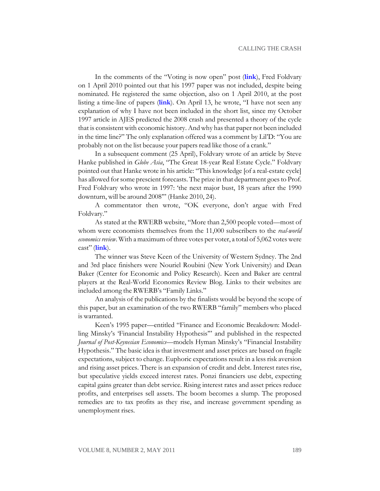In the comments of the "Voting is now open" post (**[link](http://rwer.wordpress.com/2010/03/31/voting-is-now-open-for-the-revere-award-for-economics/#comments)**), Fred Foldvary on 1 April 2010 pointed out that his 1997 paper was not included, despite being nominated. He registered the same objection, also on 1 April 2010, at the post listing a time-line of papers (**[link](http://rwer.wordpress.com/foresight-and-fait-accompli-two-timelines-for-the-global-financial-collapse/)**). On April 13, he wrote, "I have not seen any explanation of why I have not been included in the short list, since my October 1997 article in AJES predicted the 2008 crash and presented a theory of the cycle that is consistent with economic history. And why has that paper not been included in the time line?" The only explanation offered was a comment by Lil'D: "You are probably not on the list because your papers read like those of a crank."

In a subsequent comment (25 April), Foldvary wrote of an article by Steve Hanke published in *Globe Asia*, "The Great 18-year Real Estate Cycle." Foldvary pointed out that Hanke wrote in his article: "This knowledge [of a real-estate cycle] has allowed for some prescient forecasts. The prize in that department goes to Prof. Fred Foldvary who wrote in 1997: 'the next major bust, 18 years after the 1990 downturn, will be around 2008'" (Hanke 2010, 24).

A commentator then wrote, "OK everyone, don't argue with Fred Foldvary."

As stated at the RWERB website, "More than 2,500 people voted—most of whom were economists themselves from the 11,000 subscribers to the *real-world economics review*. With a maximum of three votes per voter, a total of 5,062 votes were cast" (**[link](http://rwer.wordpress.com/2010/05/13/keen-roubini-and-baker-win-revere-award-for-economics-2/)**).

The winner was Steve Keen of the University of Western Sydney. The 2nd and 3rd place finishers were Nouriel Roubini (New York University) and Dean Baker (Center for Economic and Policy Research). Keen and Baker are central players at the Real-World Economics Review Blog. Links to their websites are included among the RWERB's "Family Links."

An analysis of the publications by the finalists would be beyond the scope of this paper, but an examination of the two RWERB "family" members who placed is warranted.

Keen's 1995 paper—entitled "Finance and Economic Breakdown: Modelling Minsky's 'Financial Instability Hypothesis'" and published in the respected *Journal of Post-Keynesian Economics*—models Hyman Minsky's "Financial Instability Hypothesis." The basic idea is that investment and asset prices are based on fragile expectations, subject to change. Euphoric expectations result in a less risk aversion and rising asset prices. There is an expansion of credit and debt. Interest rates rise, but speculative yields exceed interest rates. Ponzi financiers use debt, expecting capital gains greater than debt service. Rising interest rates and asset prices reduce profits, and enterprises sell assets. The boom becomes a slump. The proposed remedies are to tax profits as they rise, and increase government spending as unemployment rises.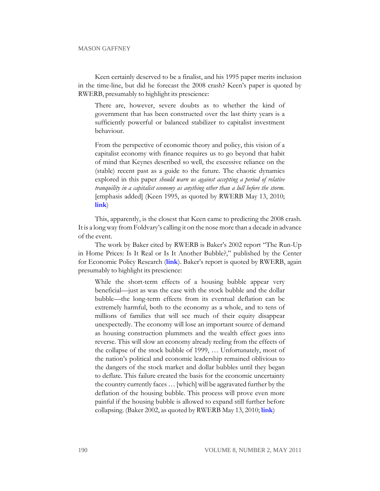#### MASON GAFFNEY

Keen certainly deserved to be a finalist, and his 1995 paper merits inclusion in the time-line, but did he forecast the 2008 crash? Keen's paper is quoted by RWERB, presumably to highlight its prescience:

There are, however, severe doubts as to whether the kind of government that has been constructed over the last thirty years is a sufficiently powerful or balanced stabilizer to capitalist investment behaviour.

From the perspective of economic theory and policy, this vision of a capitalist economy with finance requires us to go beyond that habit of mind that Keynes described so well, the excessive reliance on the (stable) recent past as a guide to the future. The chaotic dynamics explored in this paper *should warn us against accepting a period of relative tranquility in a capitalist economy as anything other than a lull before the storm.* [emphasis added] (Keen 1995, as quoted by RWERB May 13, 2010; **[link](http://rwer.wordpress.com/foresight-and-fait-accompli-two-timelines-for-the-global-financial-collapse/)**)

This, apparently, is the closest that Keen came to predicting the 2008 crash. It is a long way from Foldvary's calling it on the nose more than a decade in advance of the event.

The work by Baker cited by RWERB is Baker's 2002 report "The Run-Up in Home Prices: Is It Real or Is It Another Bubble?," published by the Center for Economic Policy Research (**[link](http://www.cepr.net/index.php/reports/the-run-up-in-home-prices-is-it-real-or-is-it-another-bubble/)**). Baker's report is quoted by RWERB, again presumably to highlight its prescience:

While the short-term effects of a housing bubble appear very beneficial—just as was the case with the stock bubble and the dollar bubble—the long-term effects from its eventual deflation can be extremely harmful, both to the economy as a whole, and to tens of millions of families that will see much of their equity disappear unexpectedly. The economy will lose an important source of demand as housing construction plummets and the wealth effect goes into reverse. This will slow an economy already reeling from the effects of the collapse of the stock bubble of 1999, … Unfortunately, most of the nation's political and economic leadership remained oblivious to the dangers of the stock market and dollar bubbles until they began to deflate. This failure created the basis for the economic uncertainty the country currently faces … [which] will be aggravated further by the deflation of the housing bubble. This process will prove even more painful if the housing bubble is allowed to expand still further before collapsing. (Baker 2002, as quoted by RWERB May 13, 2010; **[link](http://rwer.wordpress.com/foresight-and-fait-accompli-two-timelines-for-the-global-financial-collapse/)**)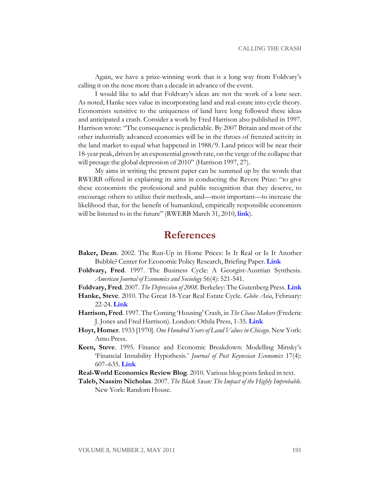Again, we have a prize-winning work that is a long way from Foldvary's calling it on the nose more than a decade in advance of the event.

I would like to add that Foldvary's ideas are not the work of a lone seer. As noted, Hanke sees value in incorporating land and real-estate into cycle theory. Economists sensitive to the uniqueness of land have long followed these ideas and anticipated a crash. Consider a work by Fred Harrison also published in 1997. Harrison wrote: "The consequence is predictable. By 2007 Britain and most of the other industrially advanced economies will be in the throes of frenzied activity in the land market to equal what happened in 1988/9. Land prices will be near their 18-year peak, driven by an exponential growth rate, on the verge of the collapse that will presage the global depression of 2010" (Harrison 1997, 27).

My aims in writing the present paper can be summed up by the words that RWERB offered in explaining its aims in conducting the Revere Prize: "to give these economists the professional and public recognition that they deserve, to encourage others to utilize their methods, and—most important—to increase the likelihood that, for the benefit of humankind, empirically responsible economists will be listened to in the future" (RWERB March 31, 2010, **[link](http://rwer.wordpress.com/2010/03/31/shortlist-for-the-revere-award-for-economics-3/)**).

### **References**

- **Baker, Dean**. 2002. The Run-Up in Home Prices: Is It Real or Is It Another Bubble? Center for Economic Policy Research, Briefing Paper. **[Link](http://www.cepr.net/index.php/reports/the-run-up-in-home-prices-is-it-real-or-is-it-another-bubble/)**
- **Foldvary, Fred**. 1997. The Business Cycle: A Georgist-Austrian Synthesis. *American Journal of Economics and Sociology* 56(4): 521-541.
- **Foldvary, Fred**. 2007. *The Depression of 2008*. Berkeley: The Gutenberg Press. **[Link](http://www.foldvary.net/works/dep08.pdf)**
- **Hanke, Steve**. 2010. The Great 18-Year Real Estate Cycle. *Globe Asia*, February: 22-24. **[Link](http://www.e-consulate.org/globe_asia_feb10.pdf)**
- **Harrison, Fred**. 1997. The Coming 'Housing' Crash, in *The Chaos Makers* (Frederic J. Jones and Fred Harrison). London: Othila Press, 1-35. **[Link](http://renegadeeconomist.com/wp-content/uploads/2009/04/the-chaos-makers.pdf)**
- **Hoyt, Homer**. 1933 [1970]. *One Hundred Years of Land Values in Chicago*. New York: Arno Press.
- **Keen, Steve**. 1995. Finance and Economic Breakdown: Modelling Minsky's 'Financial Instability Hypothesis.' *Journal of Post Keynesian Economics* 17(4): 607–635. **[Link](http://www.debtdeflation.com/blogs/wp-content/uploads/2007/04/JPKE1995PageImage9509152794.pdf)**
- **Real-World Economics Review Blog**. 2010. Various blog posts linked in text.

**Taleb, Nassim Nicholas**. 2007. *The Black Swan: The Impact of the Highly Improbable.* New York: Random House.